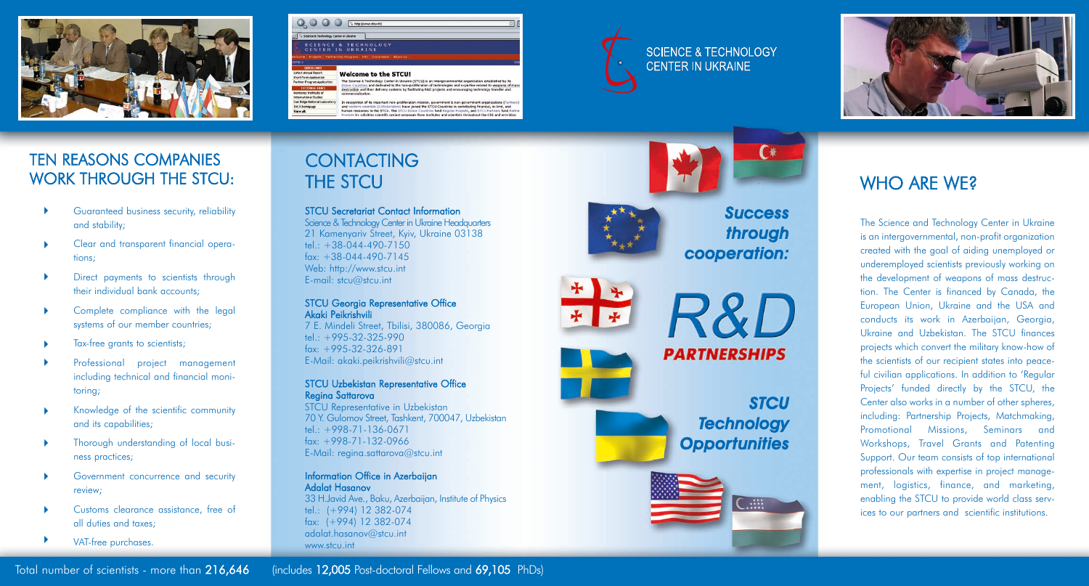







# TEN REASONS COMPANIES WORK THROUGH THE STCU:

- Guaranteed business security, reliability and stability;  $\blacktriangleright$
- Clear and transparent financial operations;  $\blacktriangleright$
- Direct payments to scientists through their individual bank accounts;  $\blacktriangleright$
- Complete compliance with the legal systems of our member countries;  $\blacktriangleright$
- Tax-free grants to scientists;  $\blacktriangleright$
- Professional project management including technical and financial monitoring;  $\blacktriangleright$
- Knowledge of the scientific community and its capabilities;  $\blacktriangleright$
- Thorough understanding of local business practices;  $\blacktriangleright$
- Government concurrence and security review;  $\blacktriangleright$
- Customs clearance assistance, free of all duties and taxes;  $\blacktriangleright$
- VAT-free purchases. ▶

# CONTACTING THE STCU

ST C U Secretariat C ontact Information Science & Technology Center in Ukraine Headquarters 21 Kamenyariv Street, Kyiv, Ukraine 03138 tel $. +38-044-490-7150$ fax: +38-044-490-7145 Web: http://www.stcu.int E-mail: stcu@stcu.int

### ST C U Georgia Representative Office Akaki Peikrishvili

7 E. Mindeli Street, Tbilisi, 380086, Georgia tel $. +995-32-325-990$ fax: +995-32-326-891 E-Mail: akaki.peikrishvili@stcu.int

### ST C U Uzbekistan Representative Office Regina Sattarova

STCU Representative in Uzbekistan 70 Y. Gulomov Street, Tashkent, 700047, Uzbekistan tel $+998-71-136-0671$ fax: +998-71-132-0966 E-Mail: regina.sattarova@stcu.int

Information Office in Azerbaijan Adalat Hasanov 33 H.Javid Ave., Baku, Azerbaijan, Institute of Physics tel.: (+994) 12 382-074 fax: (+994) 12 382-074 adalat.hasanov@stcu.int www.stcu.int



+ +

 $+ |$ 

## **Success** through cooperation:



# WHO ARE WE?

The Science and Technology Center in Ukraine is an intergovernmental, non-profit organization created with the goal of aiding unemployed or underemployed scientists previously working on the development of weapons of mass destruction. The Center is financed by Canada, the European Union, Ukraine and the USA and conducts its work in Azerbaijan, Georgia, Ukraine and Uzbekistan. The STCU finances projects which convert the military know-how of the scientists of our recipient states into peaceful civilian applications. In addition to 'Regular Projects' funded directly by the STCU, the Center also works in a number of other spheres, including: Partnership Projects, Matchmaking, Promotional Missions, Seminars and Workshops, Travel Grants and Patenting Support. Our team consists of top international professionals with expertise in project management, logistics, finance, and marketing, enabling the STCU to provide world class services to our partners and scientific institutions.

Total number of scientists - more than 216,6 4  $6$  (includes 12,005 Post-doctoral Fellows and  $69$ ,105 PhDs)